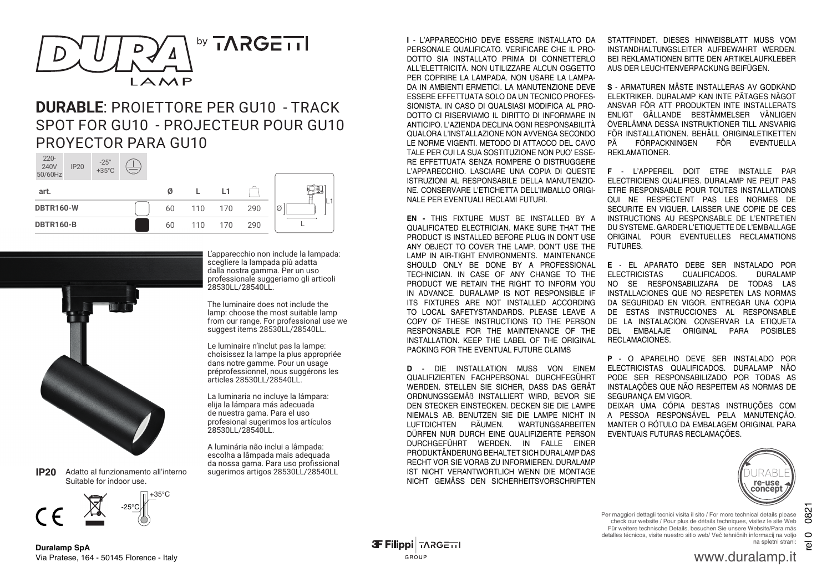

## **DURABLE**: PROIETTORE PER GU10 - TRACK SPOT FOR GU10 - PROJECTEUR POUR GU10 PROYECTOR PARA GU10  $220-$

| ZZU-<br>240V<br>50/60Hz | <b>IP20</b> | $-25^\circ$<br>+35°C | $\overline{\phantom{0}}$ |     |     |     |     |         |
|-------------------------|-------------|----------------------|--------------------------|-----|-----|-----|-----|---------|
| art.                    |             |                      |                          | Ø   |     | L1  |     | L.<br>Ø |
| <b>DBTR160-W</b>        |             |                      | 60                       | 110 | 170 | 290 |     |         |
| <b>DBTR160-B</b>        |             |                      |                          | 60  | 110 | 170 | 290 |         |



Adatto al funzionamento all'interno Suitable for indoor use. **IP20**



L'apparecchio non include la lampada: scegliere la lampada più adatta dalla nostra gamma. Per un uso professionale suggeriamo gli articoli 28530LL/28540LL.

The luminaire does not include the lamp: choose the most suitable lamp from our range. For professional use we suggest items 28530LL/28540LL.

Le luminaire n'inclut pas la lampe: choisissez la lampe la plus appropriée dans notre gamme. Pour un usage préprofessionnel, nous suggérons les articles 28530LL/28540LL.

La luminaria no incluye la lámpara: elija la lámpara más adecuada de nuestra gama. Para el uso profesional sugerimos los artículos 28530LL/28540LL.

A luminária não inclui a lâmpada: escolha a lâmpada mais adequada da nossa gama. Para uso profissional sugerimos artigos 28530LL/28540LL

**I** - L'APPARECCHIO DEVE ESSERE INSTALLATO DA PERSONALE QUALIFICATO. VERIFICARE CHE IL PRO-DOTTO SIA INSTALLATO PRIMA DI CONNETTERLO ALL'ELETTRICITÀ. NON UTILIZZARE ALCUN OGGETTO PER COPRIRE LA LAMPADA. NON USARE LA LAMPA-DA IN AMBIENTI ERMETICI. LA MANUTENZIONE DEVE ESSERE EFFETTUATA SOLO DA UN TECNICO PROFES-SIONISTA. IN CASO DI QUALSIASI MODIFICA AL PRO-DOTTO CI RISERVIAMO IL DIRITTO DI INFORMARE IN ANTICIPO. L'AZIENDA DECLINA OGNI RESPONSABILITÀ QUALORA L'INSTALLAZIONE NON AVVENGA SECONDO LE NORME VIGENTI. METODO DI ATTACCO DEL CAVO TALE PER CUI LA SUA SOSTITUZIONE NON PUO' ESSE-RE EFFETTUATA SENZA ROMPERE O DISTRUGGERE L'APPARECCHIO. LASCIARE UNA COPIA DI QUESTE ISTRUZIONI AL RESPONSABILE DELLA MANUTENZIO-NE. CONSERVARE L'ETICHETTA DELL'IMBALLO ORIGI-NALE PER EVENTUALI RECLAMI FUTURI.

**EN -** THIS FIXTURE MUST BE INSTALLED BY A QUALIFICATED ELECTRICIAN. MAKE SURE THAT THE PRODUCT IS INSTALLED BEFORE PLUG IN DON'T USE ANY OBJECT TO COVER THE LAMP. DON'T USE THE LAMP IN AIR-TIGHT ENVIRONMENTS. MAINTENANCE SHOULD ONLY BE DONE BY A PROFESSIONAL TECHNICIAN. IN CASE OF ANY CHANGE TO THE PRODUCT WE RETAIN THE RIGHT TO INFORM YOU IN ADVANCE. DURALAMP IS NOT RESPONSIBLE IF ITS FIXTURES ARE NOT INSTALLED ACCORDING TO LOCAL SAFETYSTANDARDS. PLEASE LEAVE A COPY OF THESE INSTRUCTIONS TO THE PERSON RESPONSABLE FOR THE MAINTENANCE OF THE INSTALLATION. KEEP THE LABEL OF THE ORIGINAL PACKING FOR THE EVENTUAL FUTURE CLAIMS

**D** - DIE INSTALLATION MUSS VON EINEM QUALIFIZIERTEN FACHPERSONAL DURCHFEGÜHRT WERDEN. STELLEN SIE SICHER, DASS DAS GERÄT ORDNUNGSGEMÄß INSTALLIERT WIRD, BEVOR SIE DEN STECKER EINSTECKEN. DECKEN SIE DIE LAMPE NIEMALS AB. BENUTZEN SIE DIE LAMPE NICHT IN LUFTDICHTEN RÄUMEN. WARTUNGSARBEITEN DÜRFEN NUR DURCH EINE QUALIFIZIERTE PERSON DURCHGEFÜHRT WERDEN. IN FALLE EINER PRODUKTÄNDERUNG BEHALTET SICH DURALAMP DAS RECHT VOR SIE VORAB ZU INFORMIEREN. DURALAMP IST NICHT VERANTWORTLICH WENN DIE MONTAGE NICHT GEMÄSS DEN SICHERHEITSVORSCHRIFTEN STATTFINDET. DIESES HINWEISBLATT MUSS VOM INSTANDHALTUNGSLEITER AUFBEWAHRT WERDEN. BEI REKLAMATIONEN BITTE DEN ARTIKELAUFKLEBER AUS DER LEUCHTENVERPACKUNG BEIFÜGEN.

**S** - ARMATUREN MÄSTE INSTALLERAS AV GODKÄND ELEKTRIKER. DURALAMP KAN INTE PÄTAGES NÄGOT ANSVAR FÖR ATT PRODUKTEN INTE INSTALLERATS ENLIGT GÄLLANDE BESTÄMMELSER VÄNLIGEN ÖVERLÄMNA DESSA INSTRUKTIONER TILL ANSVARIG FÖR INSTALLATIONEN. BEHÄLL ORIGINALETIKETTEN<br>PÄNTTÖRPACKNINGENNET FÖR TEVENTUELLA FÖRPACKNINGEN REKLAMATIONER.

**F** - L'APPEREIL DOIT ETRE INSTALLE PAR ELECTRICIENS QUALIFIES. DURALAMP NE PEUT PAS ETRE RESPONSABLE POUR TOUTES INSTALLATIONS QUI NE RESPECTENT PAS LES NORMES DE SECURITE EN VIGUER. LAISSER UNE COPIE DE CES INSTRUCTIONS AU RESPONSABLE DE L'ENTRETIEN DU SYSTEME. GARDER L'ETIQUETTE DE L'EMBALLAGE ORIGINAL POUR EVENTUELLES RECLAMATIONS FUTURES.

**E** - EL APARATO DEBE SER INSTALADO POR ELECTRICISTAS CUALIFICADOS. DURALAMP<br>NO SE RESPONSABILIZARA DE TODAS LAS NO SE RESPONSABILIZARA DE INSTALLACIONES QUE NO RESPETEN LAS NORMAS DA SEGURIDAD EN VIGOR. ENTREGAR UNA COPIA DE ESTAS INSTRUCCIONES AL RESPONSABLE DE LA INSTALACION. CONSERVAR LA ETIQUETA ORIGINAL PARA POSIBLES RECLAMACIONES.

**P** - O APARELHO DEVE SER INSTALADO POR ELECTRICISTAS QUALIFICADOS. DURALAMP NÃO PODE SER RESPONSABILIZADO POR TODAS AS INSTALAÇÕES QUE NÃO RESPEITEM AS NORMAS DE SEGURANCA EM VIGOR.

DEIXAR UMA CÓPIA DESTAS INSTRUÇÕES COM A PESSOA RESPONSÁVEL PELA MANUTENÇÃO. MANTER O RÓTULO DA EMBALAGEM ORIGINAL PARA EVENTUAIS FUTURAS RECLAMAÇÕES.



rel 0 0821

 $\overline{\mathfrak{G}}$ 

0821 Per maggiori dettagli tecnici visita il sito / For more technical details please check our website / Pour plus de détails techniques, visitez le site Web Für weitere technische Details, besuchen Sie unsere Website/Para más detalles técnicos, visite nuestro sitio web/ Več tehničnih informacij na voljo  $\circ$ na spletni strani:

www.duralamp.it

**Duralamp SpA** Via Pratese, 164 - 50145 Florence - Italy **3F Filippi TARGETTI** GROUP